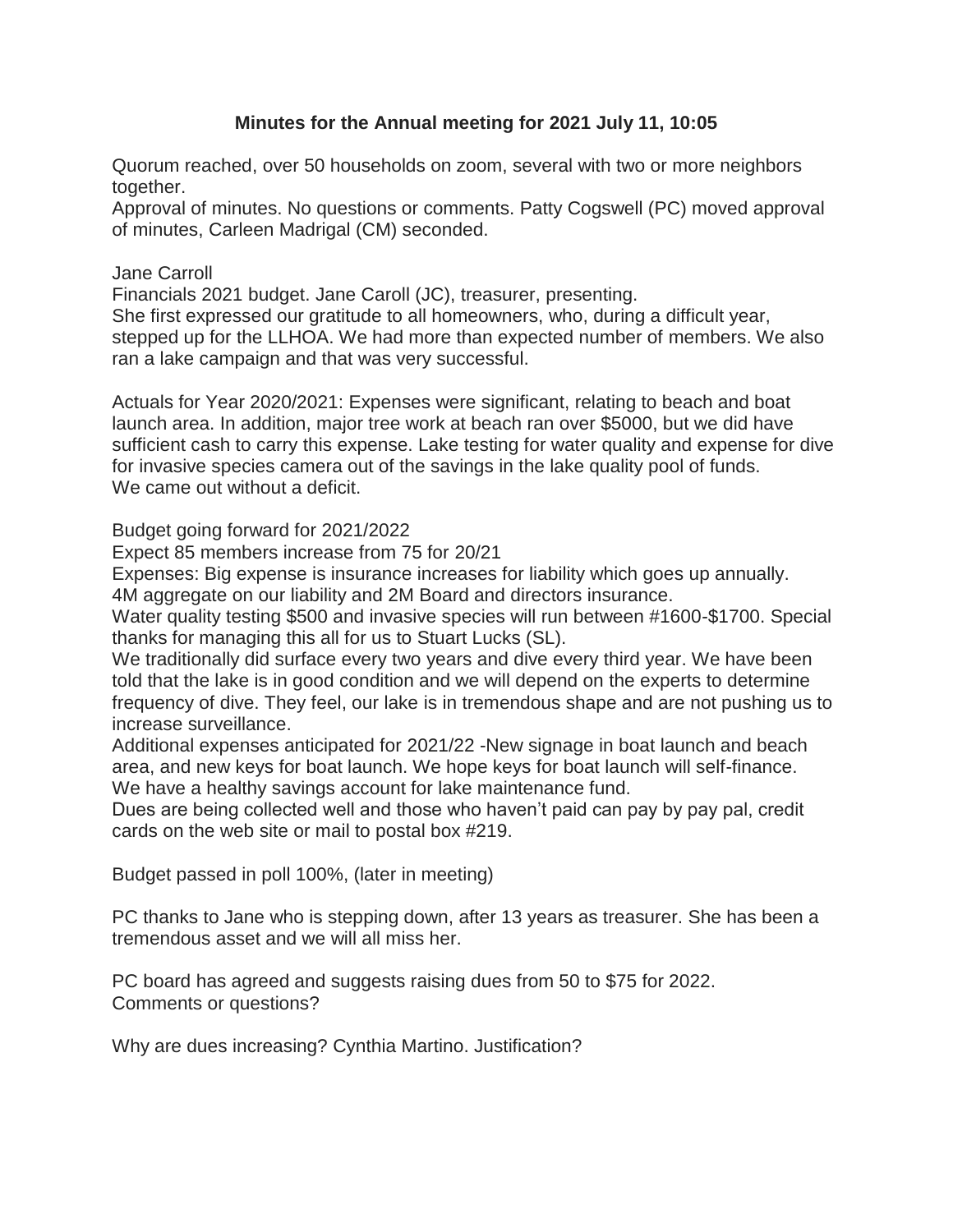# **Minutes for the Annual meeting for 2021 July 11, 10:05**

Quorum reached, over 50 households on zoom, several with two or more neighbors together.

Approval of minutes. No questions or comments. Patty Cogswell (PC) moved approval of minutes, Carleen Madrigal (CM) seconded.

### Jane Carroll

Financials 2021 budget. Jane Caroll (JC), treasurer, presenting. She first expressed our gratitude to all homeowners, who, during a difficult year, stepped up for the LLHOA. We had more than expected number of members. We also ran a lake campaign and that was very successful.

Actuals for Year 2020/2021: Expenses were significant, relating to beach and boat launch area. In addition, major tree work at beach ran over \$5000, but we did have sufficient cash to carry this expense. Lake testing for water quality and expense for dive for invasive species camera out of the savings in the lake quality pool of funds. We came out without a deficit.

Budget going forward for 2021/2022

Expect 85 members increase from 75 for 20/21

Expenses: Big expense is insurance increases for liability which goes up annually. 4M aggregate on our liability and 2M Board and directors insurance.

Water quality testing \$500 and invasive species will run between #1600-\$1700. Special thanks for managing this all for us to Stuart Lucks (SL).

We traditionally did surface every two years and dive every third year. We have been told that the lake is in good condition and we will depend on the experts to determine frequency of dive. They feel, our lake is in tremendous shape and are not pushing us to increase surveillance.

Additional expenses anticipated for 2021/22 -New signage in boat launch and beach area, and new keys for boat launch. We hope keys for boat launch will self-finance. We have a healthy savings account for lake maintenance fund.

Dues are being collected well and those who haven't paid can pay by pay pal, credit cards on the web site or mail to postal box #219.

Budget passed in poll 100%, (later in meeting)

PC thanks to Jane who is stepping down, after 13 years as treasurer. She has been a tremendous asset and we will all miss her.

PC board has agreed and suggests raising dues from 50 to \$75 for 2022. Comments or questions?

Why are dues increasing? Cynthia Martino. Justification?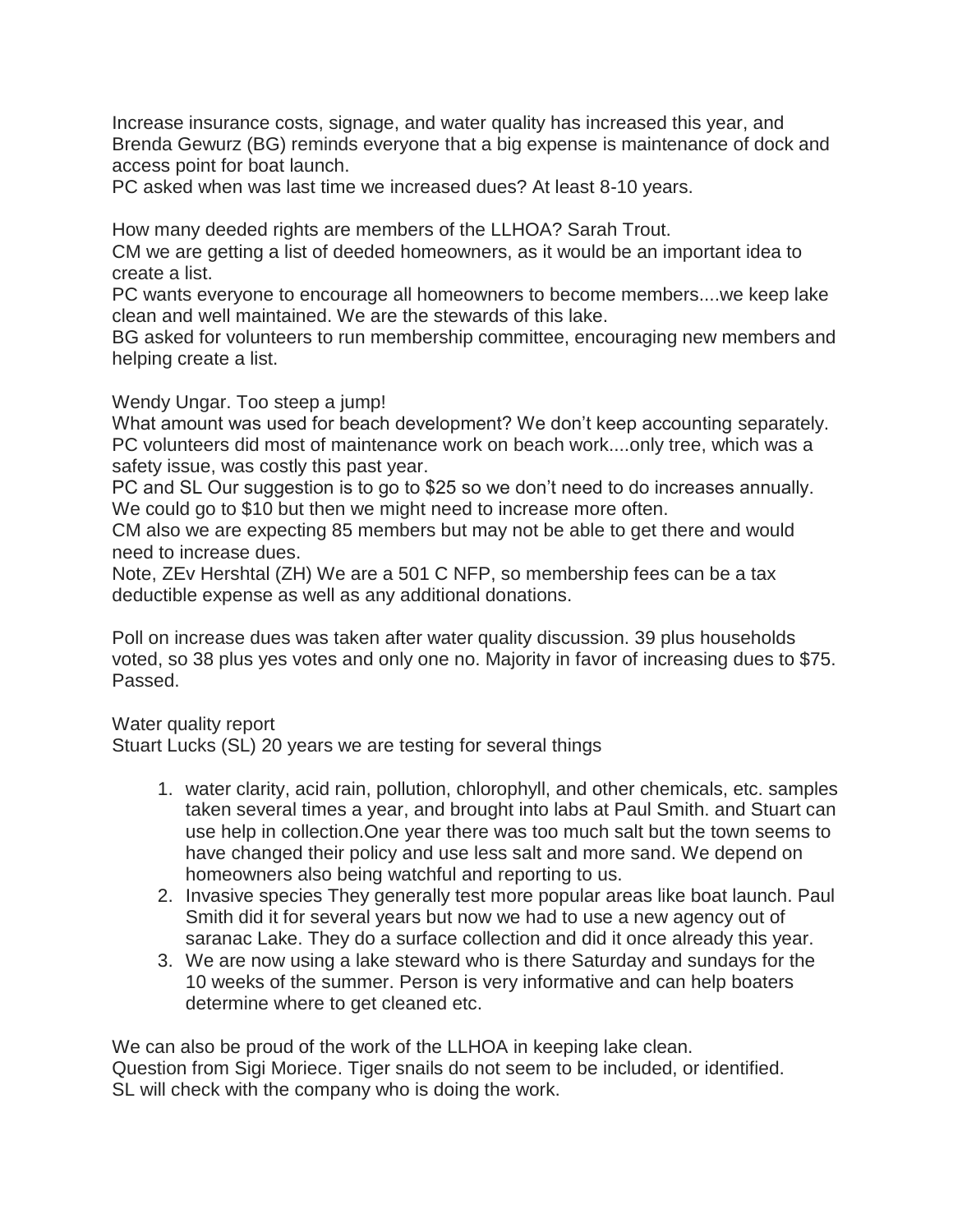Increase insurance costs, signage, and water quality has increased this year, and Brenda Gewurz (BG) reminds everyone that a big expense is maintenance of dock and access point for boat launch.

PC asked when was last time we increased dues? At least 8-10 years.

How many deeded rights are members of the LLHOA? Sarah Trout.

CM we are getting a list of deeded homeowners, as it would be an important idea to create a list.

PC wants everyone to encourage all homeowners to become members....we keep lake clean and well maintained. We are the stewards of this lake.

BG asked for volunteers to run membership committee, encouraging new members and helping create a list.

#### Wendy Ungar. Too steep a jump!

What amount was used for beach development? We don't keep accounting separately. PC volunteers did most of maintenance work on beach work....only tree, which was a safety issue, was costly this past year.

PC and SL Our suggestion is to go to \$25 so we don't need to do increases annually. We could go to \$10 but then we might need to increase more often.

CM also we are expecting 85 members but may not be able to get there and would need to increase dues.

Note, ZEv Hershtal (ZH) We are a 501 C NFP, so membership fees can be a tax deductible expense as well as any additional donations.

Poll on increase dues was taken after water quality discussion. 39 plus households voted, so 38 plus yes votes and only one no. Majority in favor of increasing dues to \$75. Passed.

#### Water quality report

Stuart Lucks (SL) 20 years we are testing for several things

- 1. water clarity, acid rain, pollution, chlorophyll, and other chemicals, etc. samples taken several times a year, and brought into labs at Paul Smith. and Stuart can use help in collection.One year there was too much salt but the town seems to have changed their policy and use less salt and more sand. We depend on homeowners also being watchful and reporting to us.
- 2. Invasive species They generally test more popular areas like boat launch. Paul Smith did it for several years but now we had to use a new agency out of saranac Lake. They do a surface collection and did it once already this year.
- 3. We are now using a lake steward who is there Saturday and sundays for the 10 weeks of the summer. Person is very informative and can help boaters determine where to get cleaned etc.

We can also be proud of the work of the LLHOA in keeping lake clean. Question from Sigi Moriece. Tiger snails do not seem to be included, or identified. SL will check with the company who is doing the work.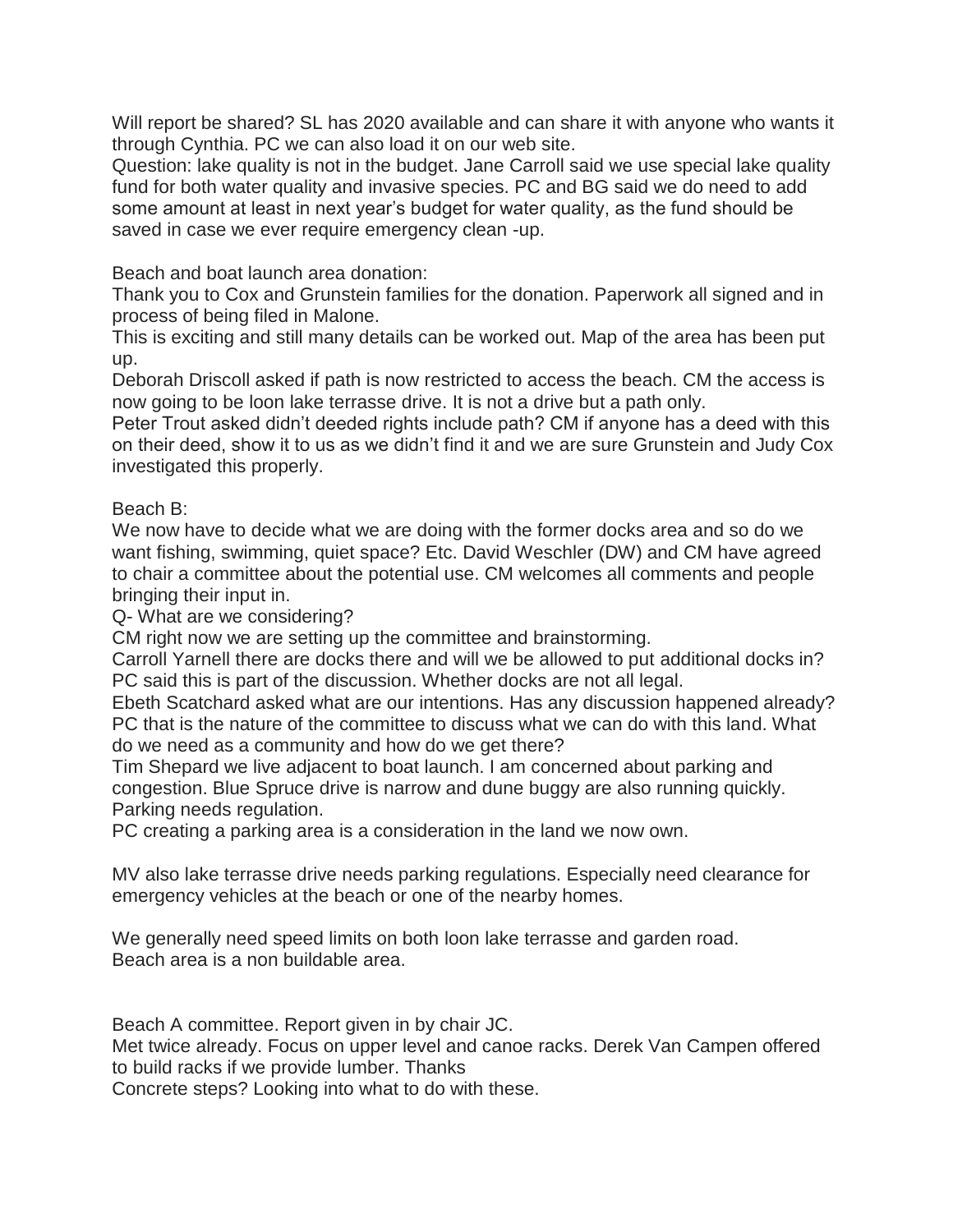Will report be shared? SL has 2020 available and can share it with anyone who wants it through Cynthia. PC we can also load it on our web site.

Question: lake quality is not in the budget. Jane Carroll said we use special lake quality fund for both water quality and invasive species. PC and BG said we do need to add some amount at least in next year's budget for water quality, as the fund should be saved in case we ever require emergency clean -up.

Beach and boat launch area donation:

Thank you to Cox and Grunstein families for the donation. Paperwork all signed and in process of being filed in Malone.

This is exciting and still many details can be worked out. Map of the area has been put up.

Deborah Driscoll asked if path is now restricted to access the beach. CM the access is now going to be loon lake terrasse drive. It is not a drive but a path only.

Peter Trout asked didn't deeded rights include path? CM if anyone has a deed with this on their deed, show it to us as we didn't find it and we are sure Grunstein and Judy Cox investigated this properly.

## Beach B:

We now have to decide what we are doing with the former docks area and so do we want fishing, swimming, quiet space? Etc. David Weschler (DW) and CM have agreed to chair a committee about the potential use. CM welcomes all comments and people bringing their input in.

Q- What are we considering?

CM right now we are setting up the committee and brainstorming.

Carroll Yarnell there are docks there and will we be allowed to put additional docks in? PC said this is part of the discussion. Whether docks are not all legal.

Ebeth Scatchard asked what are our intentions. Has any discussion happened already? PC that is the nature of the committee to discuss what we can do with this land. What do we need as a community and how do we get there?

Tim Shepard we live adjacent to boat launch. I am concerned about parking and congestion. Blue Spruce drive is narrow and dune buggy are also running quickly. Parking needs regulation.

PC creating a parking area is a consideration in the land we now own.

MV also lake terrasse drive needs parking regulations. Especially need clearance for emergency vehicles at the beach or one of the nearby homes.

We generally need speed limits on both loon lake terrasse and garden road. Beach area is a non buildable area.

Beach A committee. Report given in by chair JC.

Met twice already. Focus on upper level and canoe racks. Derek Van Campen offered to build racks if we provide lumber. Thanks

Concrete steps? Looking into what to do with these.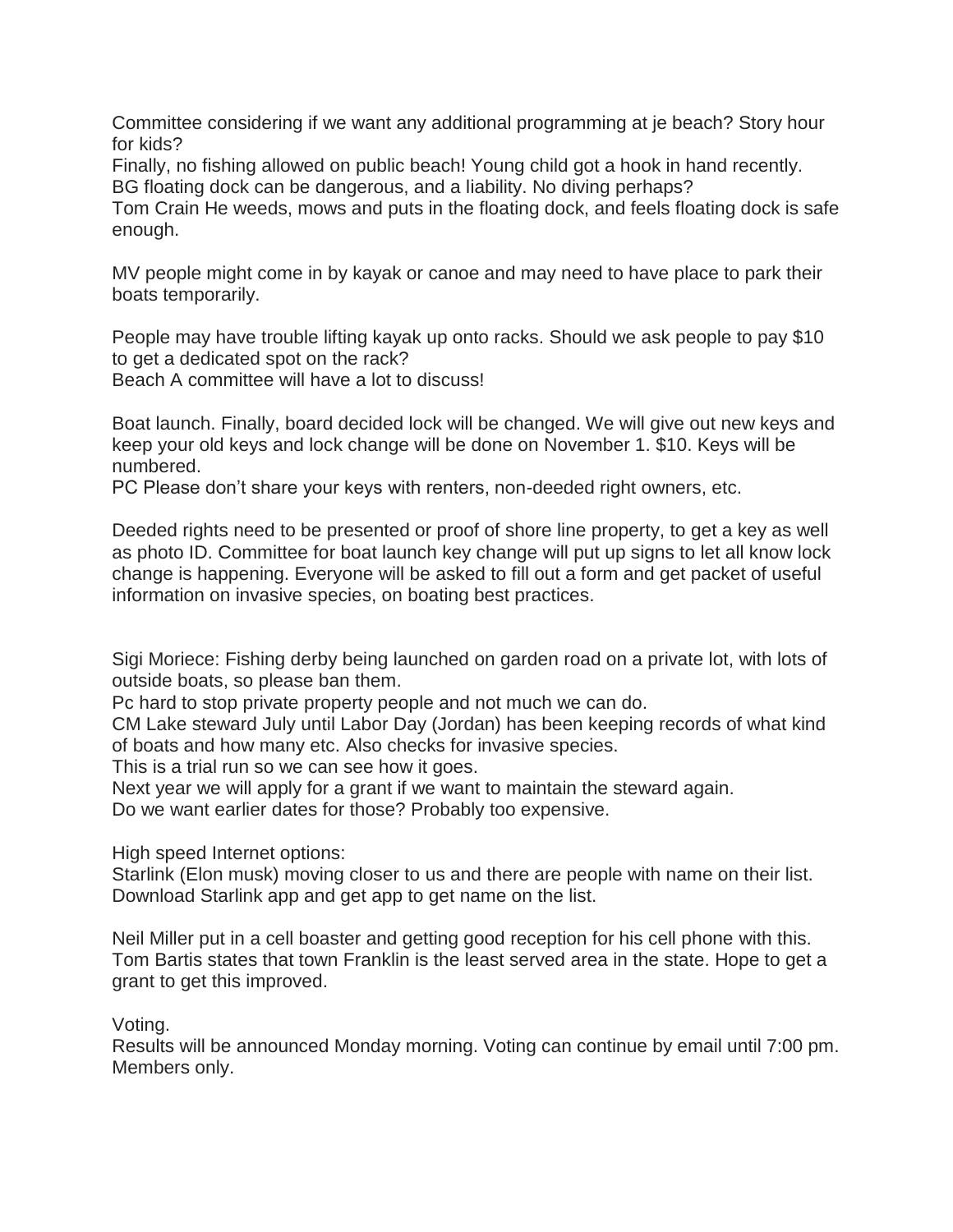Committee considering if we want any additional programming at je beach? Story hour for kids?

Finally, no fishing allowed on public beach! Young child got a hook in hand recently. BG floating dock can be dangerous, and a liability. No diving perhaps?

Tom Crain He weeds, mows and puts in the floating dock, and feels floating dock is safe enough.

MV people might come in by kayak or canoe and may need to have place to park their boats temporarily.

People may have trouble lifting kayak up onto racks. Should we ask people to pay \$10 to get a dedicated spot on the rack?

Beach A committee will have a lot to discuss!

Boat launch. Finally, board decided lock will be changed. We will give out new keys and keep your old keys and lock change will be done on November 1. \$10. Keys will be numbered.

PC Please don't share your keys with renters, non-deeded right owners, etc.

Deeded rights need to be presented or proof of shore line property, to get a key as well as photo ID. Committee for boat launch key change will put up signs to let all know lock change is happening. Everyone will be asked to fill out a form and get packet of useful information on invasive species, on boating best practices.

Sigi Moriece: Fishing derby being launched on garden road on a private lot, with lots of outside boats, so please ban them.

Pc hard to stop private property people and not much we can do.

CM Lake steward July until Labor Day (Jordan) has been keeping records of what kind of boats and how many etc. Also checks for invasive species.

This is a trial run so we can see how it goes.

Next year we will apply for a grant if we want to maintain the steward again.

Do we want earlier dates for those? Probably too expensive.

High speed Internet options:

Starlink (Elon musk) moving closer to us and there are people with name on their list. Download Starlink app and get app to get name on the list.

Neil Miller put in a cell boaster and getting good reception for his cell phone with this. Tom Bartis states that town Franklin is the least served area in the state. Hope to get a grant to get this improved.

Voting.

Results will be announced Monday morning. Voting can continue by email until 7:00 pm. Members only.